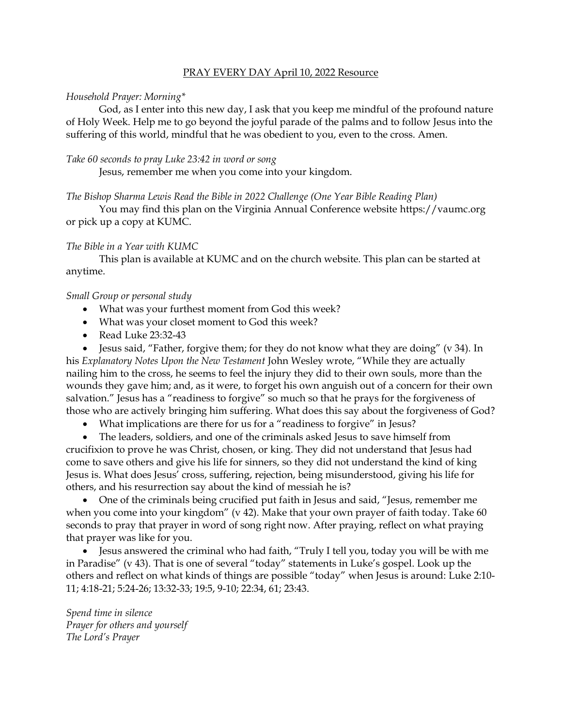#### PRAY EVERY DAY April 10, 2022 Resource

#### *Household Prayer: Morning\**

God, as I enter into this new day, I ask that you keep me mindful of the profound nature of Holy Week. Help me to go beyond the joyful parade of the palms and to follow Jesus into the suffering of this world, mindful that he was obedient to you, even to the cross. Amen.

#### *Take 60 seconds to pray Luke 23:42 in word or song*

Jesus, remember me when you come into your kingdom.

# *The Bishop Sharma Lewis Read the Bible in 2022 Challenge (One Year Bible Reading Plan)*

You may find this plan on the Virginia Annual Conference website [https://vaumc.org](https://vaumc.org/) or pick up a copy at KUMC.

# *The Bible in a Year with KUMC*

This plan is available at KUMC and on the church website. This plan can be started at anytime.

# *Small Group or personal study*

- What was your furthest moment from God this week?
- What was your closet moment to God this week?
- Read Luke 23:32-43

• Jesus said, "Father, forgive them; for they do not know what they are doing" (v 34). In his *Explanatory Notes Upon the New Testament* John Wesley wrote, "While they are actually nailing him to the cross, he seems to feel the injury they did to their own souls, more than the wounds they gave him; and, as it were, to forget his own anguish out of a concern for their own salvation." Jesus has a "readiness to forgive" so much so that he prays for the forgiveness of those who are actively bringing him suffering. What does this say about the forgiveness of God?

• What implications are there for us for a "readiness to forgive" in Jesus?

• The leaders, soldiers, and one of the criminals asked Jesus to save himself from crucifixion to prove he was Christ, chosen, or king. They did not understand that Jesus had come to save others and give his life for sinners, so they did not understand the kind of king Jesus is. What does Jesus' cross, suffering, rejection, being misunderstood, giving his life for others, and his resurrection say about the kind of messiah he is?

• One of the criminals being crucified put faith in Jesus and said, "Jesus, remember me when you come into your kingdom" (v 42). Make that your own prayer of faith today. Take 60 seconds to pray that prayer in word of song right now. After praying, reflect on what praying that prayer was like for you.

• Jesus answered the criminal who had faith, "Truly I tell you, today you will be with me in Paradise" (v 43). That is one of several "today" statements in Luke's gospel. Look up the others and reflect on what kinds of things are possible "today" when Jesus is around: Luke 2:10- 11; 4:18-21; 5:24-26; 13:32-33; 19:5, 9-10; 22:34, 61; 23:43.

*Spend time in silence Prayer for others and yourself The Lord's Prayer*